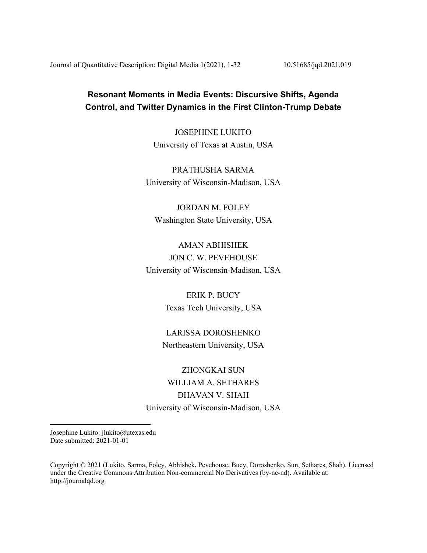Journal of Quantitative Description: Digital Media 1(2021), 1-32 10.51685/jqd.2021.019

# **Resonant Moments in Media Events: Discursive Shifts, Agenda Control, and Twitter Dynamics in the First Clinton-Trump Debate**

JOSEPHINE LUKITO University of Texas at Austin, USA

PRATHUSHA SARMA University of Wisconsin-Madison, USA

JORDAN M. FOLEY Washington State University, USA

AMAN ABHISHEK JON C. W. PEVEHOUSE University of Wisconsin-Madison, USA

> ERIK P. BUCY Texas Tech University, USA

LARISSA DOROSHENKO Northeastern University, USA

ZHONGKAI SUN WILLIAM A. SETHARES DHAVAN V. SHAH University of Wisconsin-Madison, USA

Josephine Lukito: jlukito@utexas.edu Date submitted: 2021-01-01

Copyright © 2021 (Lukito, Sarma, Foley, Abhishek, Pevehouse, Bucy, Doroshenko, Sun, Sethares, Shah). Licensed under the Creative Commons Attribution Non-commercial No Derivatives (by-nc-nd). Available at: http://journalqd.org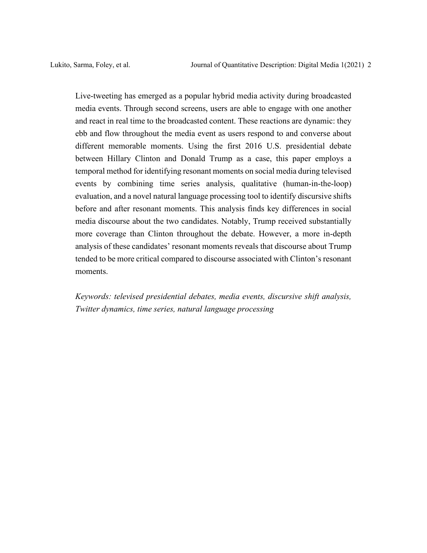Live-tweeting has emerged as a popular hybrid media activity during broadcasted media events. Through second screens, users are able to engage with one another and react in real time to the broadcasted content. These reactions are dynamic: they ebb and flow throughout the media event as users respond to and converse about different memorable moments. Using the first 2016 U.S. presidential debate between Hillary Clinton and Donald Trump as a case, this paper employs a temporal method for identifying resonant moments on social media during televised events by combining time series analysis, qualitative (human-in-the-loop) evaluation, and a novel natural language processing tool to identify discursive shifts before and after resonant moments. This analysis finds key differences in social media discourse about the two candidates. Notably, Trump received substantially more coverage than Clinton throughout the debate. However, a more in-depth analysis of these candidates' resonant moments reveals that discourse about Trump tended to be more critical compared to discourse associated with Clinton's resonant moments.

*Keywords: televised presidential debates, media events, discursive shift analysis, Twitter dynamics, time series, natural language processing*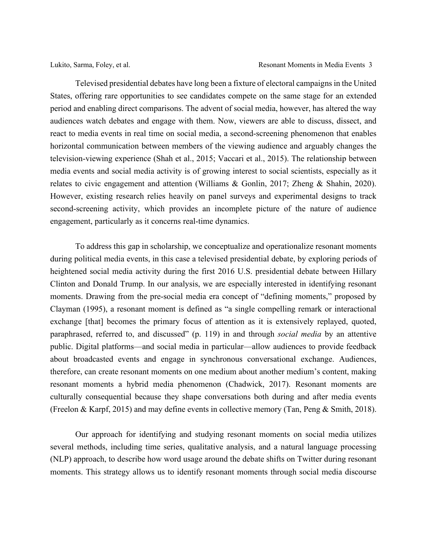Televised presidential debates have long been a fixture of electoral campaigns in the United States, offering rare opportunities to see candidates compete on the same stage for an extended period and enabling direct comparisons. The advent of social media, however, has altered the way audiences watch debates and engage with them. Now, viewers are able to discuss, dissect, and react to media events in real time on social media, a second-screening phenomenon that enables horizontal communication between members of the viewing audience and arguably changes the television-viewing experience (Shah et al., 2015; Vaccari et al., 2015). The relationship between media events and social media activity is of growing interest to social scientists, especially as it relates to civic engagement and attention (Williams & Gonlin, 2017; Zheng & Shahin, 2020). However, existing research relies heavily on panel surveys and experimental designs to track second-screening activity, which provides an incomplete picture of the nature of audience engagement, particularly as it concerns real-time dynamics.

To address this gap in scholarship, we conceptualize and operationalize resonant moments during political media events, in this case a televised presidential debate, by exploring periods of heightened social media activity during the first 2016 U.S. presidential debate between Hillary Clinton and Donald Trump. In our analysis, we are especially interested in identifying resonant moments. Drawing from the pre-social media era concept of "defining moments," proposed by Clayman (1995), a resonant moment is defined as "a single compelling remark or interactional exchange [that] becomes the primary focus of attention as it is extensively replayed, quoted, paraphrased, referred to, and discussed" (p. 119) in and through *social media* by an attentive public. Digital platforms—and social media in particular—allow audiences to provide feedback about broadcasted events and engage in synchronous conversational exchange. Audiences, therefore, can create resonant moments on one medium about another medium's content, making resonant moments a hybrid media phenomenon (Chadwick, 2017). Resonant moments are culturally consequential because they shape conversations both during and after media events (Freelon & Karpf, 2015) and may define events in collective memory (Tan, Peng & Smith, 2018).

Our approach for identifying and studying resonant moments on social media utilizes several methods, including time series, qualitative analysis, and a natural language processing (NLP) approach, to describe how word usage around the debate shifts on Twitter during resonant moments. This strategy allows us to identify resonant moments through social media discourse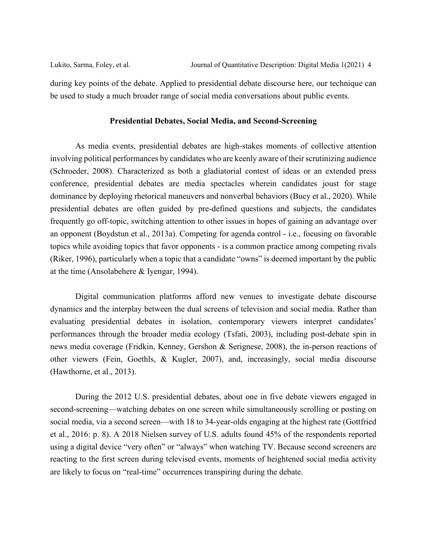be used to study a much broader range of social media conversations about public events.

### **Presidential Debates, Social Media, and Second-Screening**

As media events, presidential debates are high-stakes moments of collective attention involving political performances by candidates who are keenly aware of their scrutinizing audience (Schroeder, 2008). Characterized as both a gladiatorial contest of ideas or an extended press conference, presidential debates are media spectacles wherein candidates joust for stage dominance by deploying rhetorical maneuvers and nonverbal behaviors (Bucy et al., 2020). While presidential debates are often guided by pre-defined questions and subjects, the candidates frequently go off-topic, switching attention to other issues in hopes of gaining an advantage over an opponent (Boydstun et al., 2013a). Competing for agenda control - i.e., focusing on favorable topics while avoiding topics that favor opponents - is a common practice among competing rivals (Riker, 1996), particularly when a topic that a candidate "owns" is deemed important by the public at the time (Ansolabehere & Iyengar, 1994).

Digital communication platforms afford new venues to investigate debate discourse dynamics and the interplay between the dual screens of television and social media. Rather than evaluating presidential debates in isolation, contemporary viewers interpret candidates' performances through the broader media ecology (Tsfati, 2003), including post-debate spin in news media coverage (Fridkin, Kenney, Gershon & Serignese, 2008), the in-person reactions of other viewers (Fein, Goethls, & Kugler, 2007), and, increasingly, social media discourse (Hawthorne, et al., 2013).

During the 2012 U.S. presidential debates, about one in five debate viewers engaged in second-screening—watching debates on one screen while simultaneously scrolling or posting on social media, via a second screen—with 18 to 34-year-olds engaging at the highest rate (Gottfried et al., 2016: p. 8). A 2018 Nielsen survey of U.S. adults found 45% of the respondents reported using a digital device "very often" or "always" when watching TV. Because second screeners are reacting to the first screen during televised events, moments of heightened social media activity are likely to focus on "real-time" occurrences transpiring during the debate.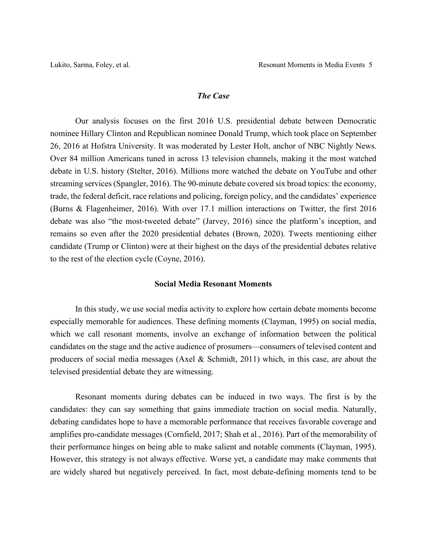### *The Case*

Our analysis focuses on the first 2016 U.S. presidential debate between Democratic nominee Hillary Clinton and Republican nominee Donald Trump, which took place on September 26, 2016 at Hofstra University. It was moderated by Lester Holt, anchor of NBC Nightly News. Over 84 million Americans tuned in across 13 television channels, making it the most watched debate in U.S. history (Stelter, 2016). Millions more watched the debate on YouTube and other streaming services (Spangler, 2016). The 90-minute debate covered six broad topics: the economy, trade, the federal deficit, race relations and policing, foreign policy, and the candidates' experience (Burns & Flagenheimer, 2016). With over 17.1 million interactions on Twitter, the first 2016 debate was also "the most-tweeted debate" (Jarvey, 2016) since the platform's inception, and remains so even after the 2020 presidential debates (Brown, 2020). Tweets mentioning either candidate (Trump or Clinton) were at their highest on the days of the presidential debates relative to the rest of the election cycle (Coyne, 2016).

### **Social Media Resonant Moments**

In this study, we use social media activity to explore how certain debate moments become especially memorable for audiences. These defining moments (Clayman, 1995) on social media, which we call resonant moments, involve an exchange of information between the political candidates on the stage and the active audience of prosumers—consumers of televised content and producers of social media messages (Axel & Schmidt, 2011) which, in this case, are about the televised presidential debate they are witnessing.

Resonant moments during debates can be induced in two ways. The first is by the candidates: they can say something that gains immediate traction on social media. Naturally, debating candidates hope to have a memorable performance that receives favorable coverage and amplifies pro-candidate messages (Cornfield, 2017; Shah et al., 2016). Part of the memorability of their performance hinges on being able to make salient and notable comments (Clayman, 1995). However, this strategy is not always effective. Worse yet, a candidate may make comments that are widely shared but negatively perceived. In fact, most debate-defining moments tend to be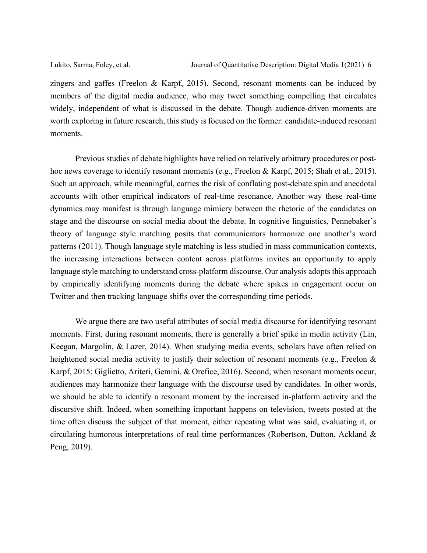zingers and gaffes (Freelon & Karpf, 2015). Second, resonant moments can be induced by members of the digital media audience, who may tweet something compelling that circulates widely, independent of what is discussed in the debate. Though audience-driven moments are worth exploring in future research, this study is focused on the former: candidate-induced resonant moments.

Previous studies of debate highlights have relied on relatively arbitrary procedures or posthoc news coverage to identify resonant moments (e.g., Freelon & Karpf, 2015; Shah et al., 2015). Such an approach, while meaningful, carries the risk of conflating post-debate spin and anecdotal accounts with other empirical indicators of real-time resonance. Another way these real-time dynamics may manifest is through language mimicry between the rhetoric of the candidates on stage and the discourse on social media about the debate. In cognitive linguistics, Pennebaker's theory of language style matching posits that communicators harmonize one another's word patterns (2011). Though language style matching is less studied in mass communication contexts, the increasing interactions between content across platforms invites an opportunity to apply language style matching to understand cross-platform discourse. Our analysis adopts this approach by empirically identifying moments during the debate where spikes in engagement occur on Twitter and then tracking language shifts over the corresponding time periods.

We argue there are two useful attributes of social media discourse for identifying resonant moments. First, during resonant moments, there is generally a brief spike in media activity (Lin, Keegan, Margolin, & Lazer, 2014). When studying media events, scholars have often relied on heightened social media activity to justify their selection of resonant moments (e.g., Freelon & Karpf, 2015; Giglietto, Ariteri, Gemini, & Orefice, 2016). Second, when resonant moments occur, audiences may harmonize their language with the discourse used by candidates. In other words, we should be able to identify a resonant moment by the increased in-platform activity and the discursive shift. Indeed, when something important happens on television, tweets posted at the time often discuss the subject of that moment, either repeating what was said, evaluating it, or circulating humorous interpretations of real-time performances (Robertson, Dutton, Ackland & Peng, 2019).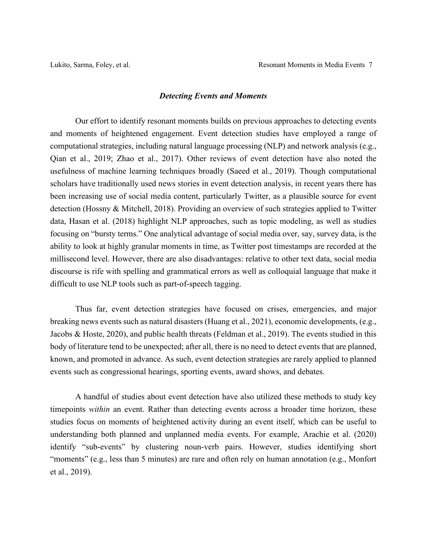### *Detecting Events and Moments*

Our effort to identify resonant moments builds on previous approaches to detecting events and moments of heightened engagement. Event detection studies have employed a range of computational strategies, including natural language processing (NLP) and network analysis (e.g., Qian et al., 2019; Zhao et al., 2017). Other reviews of event detection have also noted the usefulness of machine learning techniques broadly (Saeed et al., 2019). Though computational scholars have traditionally used news stories in event detection analysis, in recent years there has been increasing use of social media content, particularly Twitter, as a plausible source for event detection (Hossny & Mitchell, 2018). Providing an overview of such strategies applied to Twitter data, Hasan et al. (2018) highlight NLP approaches, such as topic modeling, as well as studies focusing on "bursty terms." One analytical advantage of social media over, say, survey data, is the ability to look at highly granular moments in time, as Twitter post timestamps are recorded at the millisecond level. However, there are also disadvantages: relative to other text data, social media discourse is rife with spelling and grammatical errors as well as colloquial language that make it difficult to use NLP tools such as part-of-speech tagging.

Thus far, event detection strategies have focused on crises, emergencies, and major breaking news events such as natural disasters (Huang et al., 2021), economic developments, (e.g., Jacobs & Hoste, 2020), and public health threats (Feldman et al., 2019). The events studied in this body of literature tend to be unexpected; after all, there is no need to detect events that are planned, known, and promoted in advance. As such, event detection strategies are rarely applied to planned events such as congressional hearings, sporting events, award shows, and debates.

A handful of studies about event detection have also utilized these methods to study key timepoints *within* an event. Rather than detecting events across a broader time horizon, these studies focus on moments of heightened activity during an event itself, which can be useful to understanding both planned and unplanned media events. For example, Arachie et al. (2020) identify "sub-events" by clustering noun-verb pairs. However, studies identifying short "moments" (e.g., less than 5 minutes) are rare and often rely on human annotation (e.g., Monfort et al., 2019).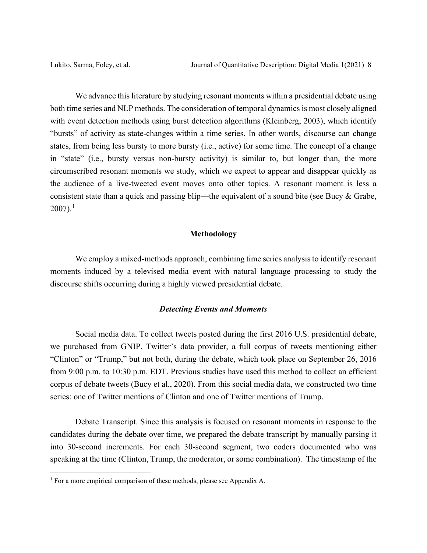We advance this literature by studying resonant moments within a presidential debate using both time series and NLP methods. The consideration of temporal dynamics is most closely aligned with event detection methods using burst detection algorithms (Kleinberg, 2003), which identify "bursts" of activity as state-changes within a time series. In other words, discourse can change states, from being less bursty to more bursty (i.e., active) for some time. The concept of a change in "state" (i.e., bursty versus non-bursty activity) is similar to, but longer than, the more circumscribed resonant moments we study, which we expect to appear and disappear quickly as the audience of a live-tweeted event moves onto other topics. A resonant moment is less a consistent state than a quick and passing blip—the equivalent of a sound bite (see Bucy & Grabe,  $2007$ ).<sup>[1](#page-7-0)</sup>

### **Methodology**

We employ a mixed-methods approach, combining time series analysis to identify resonant moments induced by a televised media event with natural language processing to study the discourse shifts occurring during a highly viewed presidential debate.

### *Detecting Events and Moments*

Social media data. To collect tweets posted during the first 2016 U.S. presidential debate, we purchased from GNIP, Twitter's data provider, a full corpus of tweets mentioning either "Clinton" or "Trump," but not both, during the debate, which took place on September 26, 2016 from 9:00 p.m. to 10:30 p.m. EDT. Previous studies have used this method to collect an efficient corpus of debate tweets (Bucy et al., 2020). From this social media data, we constructed two time series: one of Twitter mentions of Clinton and one of Twitter mentions of Trump.

Debate Transcript. Since this analysis is focused on resonant moments in response to the candidates during the debate over time, we prepared the debate transcript by manually parsing it into 30-second increments. For each 30-second segment, two coders documented who was speaking at the time (Clinton, Trump, the moderator, or some combination). The timestamp of the

<span id="page-7-0"></span> $<sup>1</sup>$  For a more empirical comparison of these methods, please see Appendix A.</sup>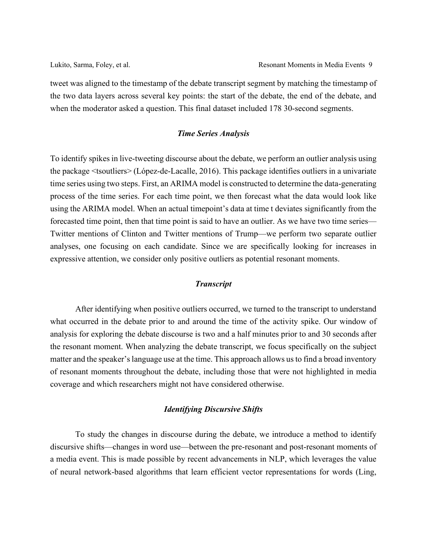tweet was aligned to the timestamp of the debate transcript segment by matching the timestamp of the two data layers across several key points: the start of the debate, the end of the debate, and when the moderator asked a question. This final dataset included 178 30-second segments.

### *Time Series Analysis*

To identify spikes in live-tweeting discourse about the debate, we perform an outlier analysis using the package <tsoutliers> (López-de-Lacalle, 2016). This package identifies outliers in a univariate time series using two steps. First, an ARIMA model is constructed to determine the data-generating process of the time series. For each time point, we then forecast what the data would look like using the ARIMA model. When an actual timepoint's data at time t deviates significantly from the forecasted time point, then that time point is said to have an outlier. As we have two time series— Twitter mentions of Clinton and Twitter mentions of Trump—we perform two separate outlier analyses, one focusing on each candidate. Since we are specifically looking for increases in expressive attention, we consider only positive outliers as potential resonant moments.

### *Transcript*

After identifying when positive outliers occurred, we turned to the transcript to understand what occurred in the debate prior to and around the time of the activity spike. Our window of analysis for exploring the debate discourse is two and a half minutes prior to and 30 seconds after the resonant moment. When analyzing the debate transcript, we focus specifically on the subject matter and the speaker's language use at the time. This approach allows us to find a broad inventory of resonant moments throughout the debate, including those that were not highlighted in media coverage and which researchers might not have considered otherwise.

### *Identifying Discursive Shifts*

To study the changes in discourse during the debate, we introduce a method to identify discursive shifts—changes in word use—between the pre-resonant and post-resonant moments of a media event. This is made possible by recent advancements in NLP, which leverages the value of neural network-based algorithms that learn efficient vector representations for words (Ling,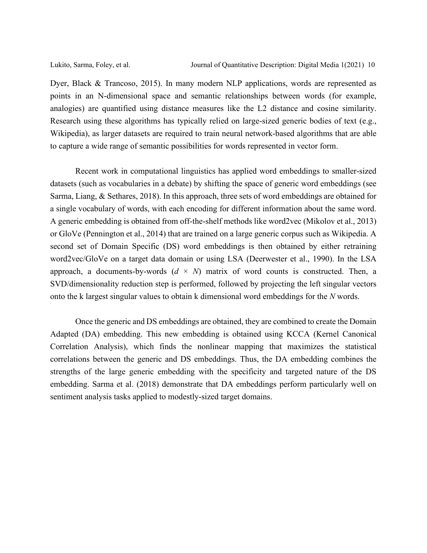Dyer, Black & Trancoso, 2015). In many modern NLP applications, words are represented as points in an N-dimensional space and semantic relationships between words (for example, analogies) are quantified using distance measures like the L2 distance and cosine similarity. Research using these algorithms has typically relied on large-sized generic bodies of text (e.g., Wikipedia), as larger datasets are required to train neural network-based algorithms that are able to capture a wide range of semantic possibilities for words represented in vector form.

Recent work in computational linguistics has applied word embeddings to smaller-sized datasets (such as vocabularies in a debate) by shifting the space of generic word embeddings (see Sarma, Liang, & Sethares, 2018). In this approach, three sets of word embeddings are obtained for a single vocabulary of words, with each encoding for different information about the same word. A generic embedding is obtained from off-the-shelf methods like word2vec (Mikolov et al., 2013) or GloVe (Pennington et al., 2014) that are trained on a large generic corpus such as Wikipedia. A second set of Domain Specific (DS) word embeddings is then obtained by either retraining word2vec/GloVe on a target data domain or using LSA (Deerwester et al., 1990). In the LSA approach, a documents-by-words  $(d \times N)$  matrix of word counts is constructed. Then, a SVD/dimensionality reduction step is performed, followed by projecting the left singular vectors onto the k largest singular values to obtain k dimensional word embeddings for the *N* words.

Once the generic and DS embeddings are obtained, they are combined to create the Domain Adapted (DA) embedding. This new embedding is obtained using KCCA (Kernel Canonical Correlation Analysis), which finds the nonlinear mapping that maximizes the statistical correlations between the generic and DS embeddings. Thus, the DA embedding combines the strengths of the large generic embedding with the specificity and targeted nature of the DS embedding. Sarma et al. (2018) demonstrate that DA embeddings perform particularly well on sentiment analysis tasks applied to modestly-sized target domains.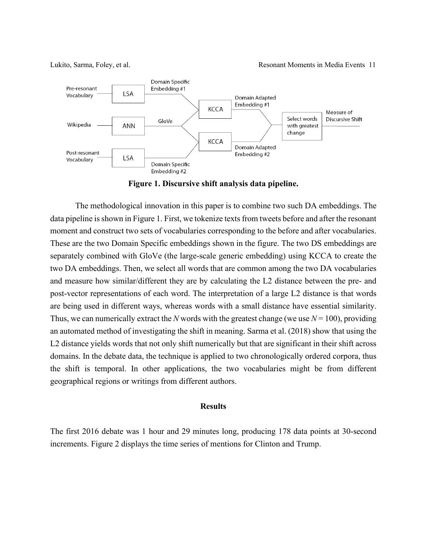Lukito, Sarma, Foley, et al. Resonant Moments in Media Events 11



**Figure 1. Discursive shift analysis data pipeline.**

The methodological innovation in this paper is to combine two such DA embeddings. The data pipeline is shown in Figure 1. First, we tokenize texts from tweets before and after the resonant moment and construct two sets of vocabularies corresponding to the before and after vocabularies. These are the two Domain Specific embeddings shown in the figure. The two DS embeddings are separately combined with GloVe (the large-scale generic embedding) using KCCA to create the two DA embeddings. Then, we select all words that are common among the two DA vocabularies and measure how similar/different they are by calculating the L2 distance between the pre- and post-vector representations of each word. The interpretation of a large L2 distance is that words are being used in different ways, whereas words with a small distance have essential similarity. Thus, we can numerically extract the *N* words with the greatest change (we use  $N = 100$ ), providing an automated method of investigating the shift in meaning. Sarma et al. (2018) show that using the L2 distance yields words that not only shift numerically but that are significant in their shift across domains. In the debate data, the technique is applied to two chronologically ordered corpora, thus the shift is temporal. In other applications, the two vocabularies might be from different geographical regions or writings from different authors.

#### **Results**

The first 2016 debate was 1 hour and 29 minutes long, producing 178 data points at 30-second increments. Figure 2 displays the time series of mentions for Clinton and Trump.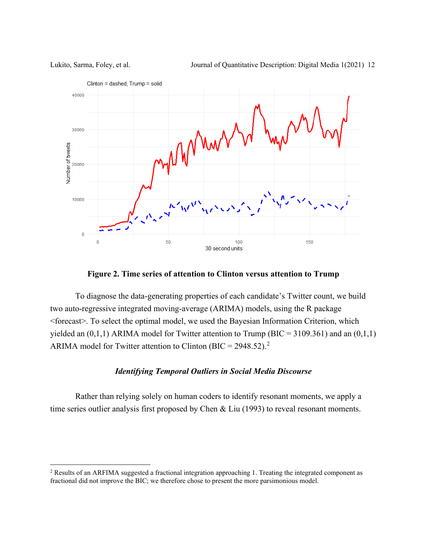Lukito, Sarma, Foley, et al. Journal of Quantitative Description: Digital Media 1(2021) 12



**Figure 2. Time series of attention to Clinton versus attention to Trump**

To diagnose the data-generating properties of each candidate's Twitter count, we build two auto-regressive integrated moving-average (ARIMA) models, using the R package <forecast>. To select the optimal model, we used the Bayesian Information Criterion, which yielded an  $(0,1,1)$  ARIMA model for Twitter attention to Trump (BIC = 3109.361) and an  $(0,1,1)$ ARIMA model for Twitter attention to Clinton (BIC =  $2948.52$  $2948.52$ ).<sup>2</sup>

### *Identifying Temporal Outliers in Social Media Discourse*

Rather than relying solely on human coders to identify resonant moments, we apply a time series outlier analysis first proposed by Chen & Liu (1993) to reveal resonant moments.

<span id="page-11-0"></span><sup>2</sup> Results of an ARFIMA suggested a fractional integration approaching 1. Treating the integrated component as fractional did not improve the BIC; we therefore chose to present the more parsimonious model.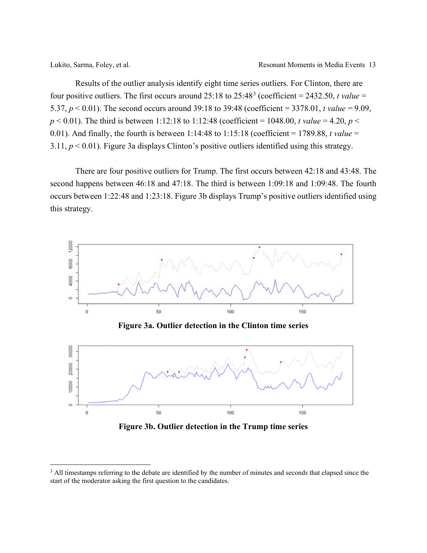Results of the outlier analysis identify eight time series outliers. For Clinton, there are four positive outliers. The first occurs around  $25:18$  to  $25:48<sup>3</sup>$  $25:48<sup>3</sup>$  $25:48<sup>3</sup>$  (coefficient = 2432.50, *t value* = 5.37, *p* < 0.01). The second occurs around 39:18 to 39:48 (coefficient = 3378.01, *t value* = 9.09,  $p < 0.01$ ). The third is between 1:12:18 to 1:12:48 (coefficient = 1048.00, *t value* = 4.20, *p* < 0.01). And finally, the fourth is between 1:14:48 to 1:15:18 (coefficient = 1789.88, *t value* = 3.11,  $p < 0.01$ ). Figure 3a displays Clinton's positive outliers identified using this strategy.

There are four positive outliers for Trump. The first occurs between 42:18 and 43:48. The second happens between 46:18 and 47:18. The third is between 1:09:18 and 1:09:48. The fourth occurs between 1:22:48 and 1:23:18. Figure 3b displays Trump's positive outliers identified using this strategy.



**Figure 3b. Outlier detection in the Trump time series**

<span id="page-12-0"></span><sup>&</sup>lt;sup>3</sup> All timestamps referring to the debate are identified by the number of minutes and seconds that elapsed since the start of the moderator asking the first question to the candidates.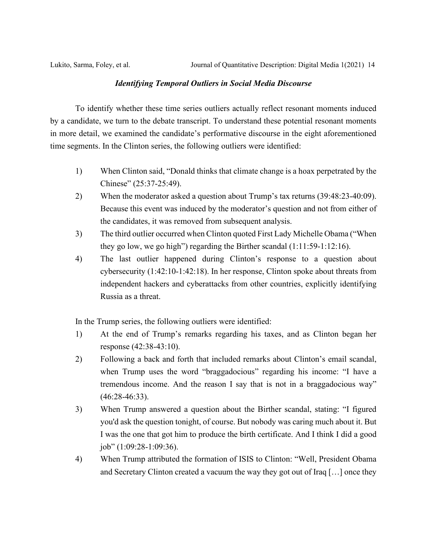### *Identifying Temporal Outliers in Social Media Discourse*

To identify whether these time series outliers actually reflect resonant moments induced by a candidate, we turn to the debate transcript. To understand these potential resonant moments in more detail, we examined the candidate's performative discourse in the eight aforementioned time segments. In the Clinton series, the following outliers were identified:

- 1) When Clinton said, "Donald thinks that climate change is a hoax perpetrated by the Chinese" (25:37-25:49).
- 2) When the moderator asked a question about Trump's tax returns (39:48:23-40:09). Because this event was induced by the moderator's question and not from either of the candidates, it was removed from subsequent analysis.
- 3) The third outlier occurred when Clinton quoted First Lady Michelle Obama ("When they go low, we go high") regarding the Birther scandal (1:11:59-1:12:16).
- 4) The last outlier happened during Clinton's response to a question about cybersecurity (1:42:10-1:42:18). In her response, Clinton spoke about threats from independent hackers and cyberattacks from other countries, explicitly identifying Russia as a threat.

In the Trump series, the following outliers were identified:

- 1) At the end of Trump's remarks regarding his taxes, and as Clinton began her response (42:38-43:10).
- 2) Following a back and forth that included remarks about Clinton's email scandal, when Trump uses the word "braggadocious" regarding his income: "I have a tremendous income. And the reason I say that is not in a braggadocious way" (46:28-46:33).
- 3) When Trump answered a question about the Birther scandal, stating: "I figured you'd ask the question tonight, of course. But nobody was caring much about it. But I was the one that got him to produce the birth certificate. And I think I did a good job" (1:09:28-1:09:36).
- 4) When Trump attributed the formation of ISIS to Clinton: "Well, President Obama and Secretary Clinton created a vacuum the way they got out of Iraq […] once they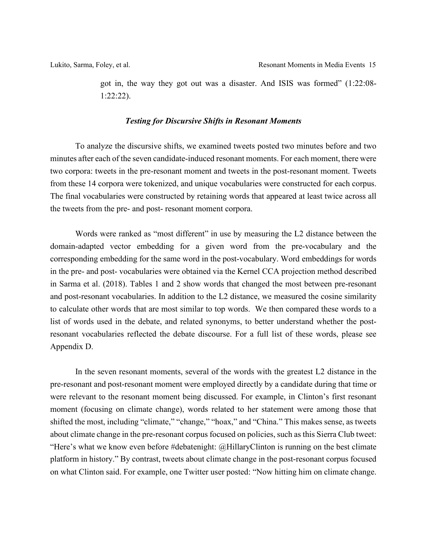got in, the way they got out was a disaster. And ISIS was formed" (1:22:08- 1:22:22).

### *Testing for Discursive Shifts in Resonant Moments*

To analyze the discursive shifts, we examined tweets posted two minutes before and two minutes after each of the seven candidate-induced resonant moments. For each moment, there were two corpora: tweets in the pre-resonant moment and tweets in the post-resonant moment. Tweets from these 14 corpora were tokenized, and unique vocabularies were constructed for each corpus. The final vocabularies were constructed by retaining words that appeared at least twice across all the tweets from the pre- and post- resonant moment corpora.

Words were ranked as "most different" in use by measuring the L2 distance between the domain-adapted vector embedding for a given word from the pre-vocabulary and the corresponding embedding for the same word in the post-vocabulary. Word embeddings for words in the pre- and post- vocabularies were obtained via the Kernel CCA projection method described in Sarma et al. (2018). Tables 1 and 2 show words that changed the most between pre-resonant and post-resonant vocabularies. In addition to the L2 distance, we measured the cosine similarity to calculate other words that are most similar to top words. We then compared these words to a list of words used in the debate, and related synonyms, to better understand whether the postresonant vocabularies reflected the debate discourse. For a full list of these words, please see Appendix D.

In the seven resonant moments, several of the words with the greatest L2 distance in the pre-resonant and post-resonant moment were employed directly by a candidate during that time or were relevant to the resonant moment being discussed. For example, in Clinton's first resonant moment (focusing on climate change), words related to her statement were among those that shifted the most, including "climate," "change," "hoax," and "China." This makes sense, as tweets about climate change in the pre-resonant corpus focused on policies, such as this Sierra Club tweet: "Here's what we know even before #debatenight: @HillaryClinton is running on the best climate platform in history." By contrast, tweets about climate change in the post-resonant corpus focused on what Clinton said. For example, one Twitter user posted: "Now hitting him on climate change.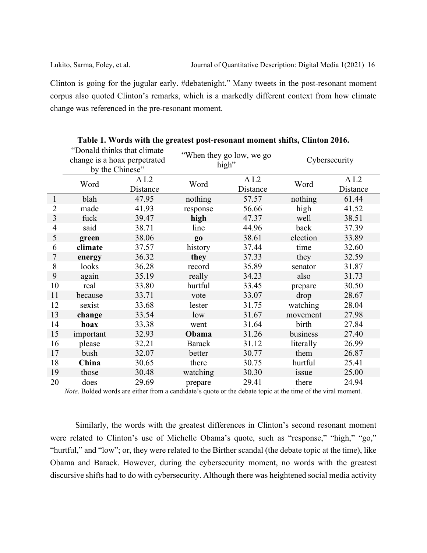Clinton is going for the jugular early. #debatenight." Many tweets in the post-resonant moment corpus also quoted Clinton's remarks, which is a markedly different context from how climate change was referenced in the pre-resonant moment.

|                | radio it words with the greatest post resonant moment shing, chilton 2010t<br>"Donald thinks that climate |                              |               |                          |               |                         |  |  |  |  |
|----------------|-----------------------------------------------------------------------------------------------------------|------------------------------|---------------|--------------------------|---------------|-------------------------|--|--|--|--|
|                |                                                                                                           | change is a hoax perpetrated |               | "When they go low, we go | Cybersecurity |                         |  |  |  |  |
|                |                                                                                                           | by the Chinese"              | high"         |                          |               |                         |  |  |  |  |
|                |                                                                                                           |                              |               |                          |               |                         |  |  |  |  |
|                | Word                                                                                                      | $\Delta$ L <sub>2</sub>      | Word          | $\Delta$ L2              | Word          | $\Delta$ L <sub>2</sub> |  |  |  |  |
|                |                                                                                                           | Distance                     |               | Distance                 |               | Distance                |  |  |  |  |
| 1              | blah                                                                                                      | 47.95                        | nothing       | 57.57                    | nothing       | 61.44                   |  |  |  |  |
| 2              | made                                                                                                      | 41.93                        | response      | 56.66                    | high          | 41.52                   |  |  |  |  |
| 3              | fuck                                                                                                      | 39.47                        | high          | 47.37                    | well          | 38.51                   |  |  |  |  |
| $\overline{4}$ | said                                                                                                      | 38.71                        | line          | 44.96                    | back          | 37.39                   |  |  |  |  |
| 5              | green                                                                                                     | 38.06                        | $g_{0}$       | 38.61                    | election      | 33.89                   |  |  |  |  |
| 6              | climate                                                                                                   | 37.57                        | history       | 37.44                    | time          | 32.60                   |  |  |  |  |
| 7              | energy                                                                                                    | 36.32                        | they          | 37.33                    | they          | 32.59                   |  |  |  |  |
| 8              | looks                                                                                                     | 36.28                        | record        | 35.89                    | senator       | 31.87                   |  |  |  |  |
| 9              | again                                                                                                     | 35.19                        | really        | 34.23                    | also          | 31.73                   |  |  |  |  |
| 10             | real                                                                                                      | 33.80                        | hurtful       | 33.45                    | prepare       | 30.50                   |  |  |  |  |
| 11             | because                                                                                                   | 33.71                        | vote          | 33.07                    | drop          | 28.67                   |  |  |  |  |
| 12             | sexist                                                                                                    | 33.68                        | lester        | 31.75                    | watching      | 28.04                   |  |  |  |  |
| 13             | change                                                                                                    | 33.54                        | low           | 31.67                    | movement      | 27.98                   |  |  |  |  |
| 14             | hoax                                                                                                      | 33.38                        | went          | 31.64                    | birth         | 27.84                   |  |  |  |  |
| 15             | important                                                                                                 | 32.93                        | Obama         | 31.26                    | business      | 27.40                   |  |  |  |  |
| 16             | please                                                                                                    | 32.21                        | <b>Barack</b> | 31.12                    | literally     | 26.99                   |  |  |  |  |
| 17             | bush                                                                                                      | 32.07                        | better        | 30.77                    | them          | 26.87                   |  |  |  |  |
| 18             | China                                                                                                     | 30.65                        | there         | 30.75                    | hurtful       | 25.41                   |  |  |  |  |
| 19             | those                                                                                                     | 30.48                        | watching      | 30.30                    | issue         | 25.00                   |  |  |  |  |
| 20             | does                                                                                                      | 29.69                        | prepare       | 29.41                    | there         | 24.94                   |  |  |  |  |

**Table 1. Words with the greatest post-resonant moment shifts, Clinton 2016.**

*Note*. Bolded words are either from a candidate's quote or the debate topic at the time of the viral moment.

Similarly, the words with the greatest differences in Clinton's second resonant moment were related to Clinton's use of Michelle Obama's quote, such as "response," "high," "go," "hurtful," and "low"; or, they were related to the Birther scandal (the debate topic at the time), like Obama and Barack. However, during the cybersecurity moment, no words with the greatest discursive shifts had to do with cybersecurity. Although there was heightened social media activity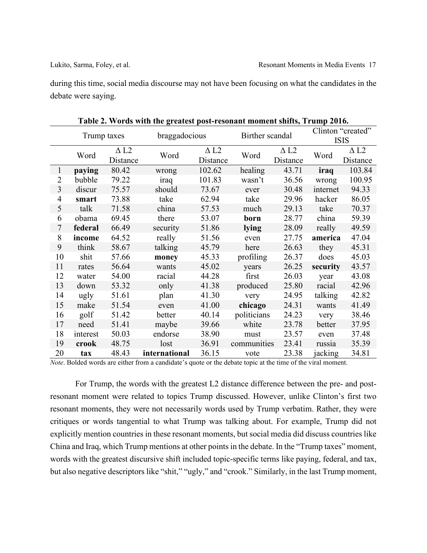during this time, social media discourse may not have been focusing on what the candidates in the debate were saying.

|                | Trump taxes |                                     | braggadocious |                                     | $\frac{1}{2}$ and $\frac{1}{2}$ and $\frac{1}{2}$ and $\frac{1}{2}$ and $\frac{1}{2}$ and $\frac{1}{2}$ and $\frac{1}{2}$ and $\frac{1}{2}$ and $\frac{1}{2}$ and $\frac{1}{2}$ and $\frac{1}{2}$ and $\frac{1}{2}$ and $\frac{1}{2}$ and $\frac{1}{2}$ and $\frac{1}{2}$ and $\frac{1}{2}$ a<br>Birther scandal |                                     | Clinton "created"<br><b>ISIS</b> |                                     |
|----------------|-------------|-------------------------------------|---------------|-------------------------------------|------------------------------------------------------------------------------------------------------------------------------------------------------------------------------------------------------------------------------------------------------------------------------------------------------------------|-------------------------------------|----------------------------------|-------------------------------------|
|                | Word        | $\Delta$ L <sub>2</sub><br>Distance | Word          | $\Delta$ L <sub>2</sub><br>Distance | Word                                                                                                                                                                                                                                                                                                             | $\Delta$ L <sub>2</sub><br>Distance | Word                             | $\Delta$ L <sub>2</sub><br>Distance |
| $\mathbf{1}$   | paying      | 80.42                               | wrong         | 102.62                              | healing                                                                                                                                                                                                                                                                                                          | 43.71                               | iraq                             | 103.84                              |
| 2              | bubble      | 79.22                               | iraq          | 101.83                              | wasn't                                                                                                                                                                                                                                                                                                           | 36.56                               | wrong                            | 100.95                              |
| 3              | discur      | 75.57                               | should        | 73.67                               | ever                                                                                                                                                                                                                                                                                                             | 30.48                               | internet                         | 94.33                               |
| 4              | smart       | 73.88                               | take          | 62.94                               | take                                                                                                                                                                                                                                                                                                             | 29.96                               | hacker                           | 86.05                               |
| 5              | talk        | 71.58                               | china         | 57.53                               | much                                                                                                                                                                                                                                                                                                             | 29.13                               | take                             | 70.37                               |
| 6              | obama       | 69.45                               | there         | 53.07                               | born                                                                                                                                                                                                                                                                                                             | 28.77                               | china                            | 59.39                               |
| $\overline{7}$ | federal     | 66.49                               | security      | 51.86                               | lying                                                                                                                                                                                                                                                                                                            | 28.09                               | really                           | 49.59                               |
| 8              | income      | 64.52                               | really        | 51.56                               | even                                                                                                                                                                                                                                                                                                             | 27.75                               | america                          | 47.04                               |
| 9              | think       | 58.67                               | talking       | 45.79                               | here                                                                                                                                                                                                                                                                                                             | 26.63                               | they                             | 45.31                               |
| 10             | shit        | 57.66                               | money         | 45.33                               | profiling                                                                                                                                                                                                                                                                                                        | 26.37                               | does                             | 45.03                               |
| 11             | rates       | 56.64                               | wants         | 45.02                               | years                                                                                                                                                                                                                                                                                                            | 26.25                               | security                         | 43.57                               |
| 12             | water       | 54.00                               | racial        | 44.28                               | first                                                                                                                                                                                                                                                                                                            | 26.03                               | year                             | 43.08                               |
| 13             | down        | 53.32                               | only          | 41.38                               | produced                                                                                                                                                                                                                                                                                                         | 25.80                               | racial                           | 42.96                               |
| 14             | ugly        | 51.61                               | plan          | 41.30                               | very                                                                                                                                                                                                                                                                                                             | 24.95                               | talking                          | 42.82                               |
| 15             | make        | 51.54                               | even          | 41.00                               | chicago                                                                                                                                                                                                                                                                                                          | 24.31                               | wants                            | 41.49                               |
| 16             | golf        | 51.42                               | better        | 40.14                               | politicians                                                                                                                                                                                                                                                                                                      | 24.23                               | very                             | 38.46                               |
| 17             | need        | 51.41                               | maybe         | 39.66                               | white                                                                                                                                                                                                                                                                                                            | 23.78                               | better                           | 37.95                               |
| 18             | interest    | 50.03                               | endorse       | 38.90                               | must                                                                                                                                                                                                                                                                                                             | 23.57                               | even                             | 37.48                               |
| 19             | crook       | 48.75                               | lost          | 36.91                               | communities                                                                                                                                                                                                                                                                                                      | 23.41                               | russia                           | 35.39                               |
| 20             | tax         | 48.43                               | international | 36.15                               | vote                                                                                                                                                                                                                                                                                                             | 23.38                               | jacking                          | 34.81                               |

**Table 2. Words with the greatest post-resonant moment shifts, Trump 2016.**

*Note*. Bolded words are either from a candidate's quote or the debate topic at the time of the viral moment.

For Trump, the words with the greatest L2 distance difference between the pre- and postresonant moment were related to topics Trump discussed. However, unlike Clinton's first two resonant moments, they were not necessarily words used by Trump verbatim. Rather, they were critiques or words tangential to what Trump was talking about. For example, Trump did not explicitly mention countries in these resonant moments, but social media did discuss countries like China and Iraq, which Trump mentions at other points in the debate. In the "Trump taxes" moment, words with the greatest discursive shift included topic-specific terms like paying, federal, and tax, but also negative descriptors like "shit," "ugly," and "crook." Similarly, in the last Trump moment,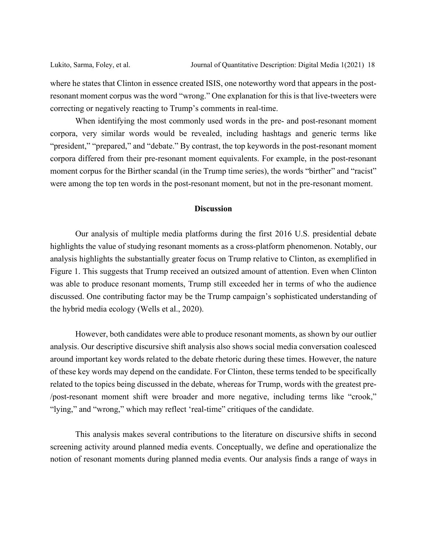where he states that Clinton in essence created ISIS, one noteworthy word that appears in the postresonant moment corpus was the word "wrong." One explanation for this is that live-tweeters were correcting or negatively reacting to Trump's comments in real-time.

When identifying the most commonly used words in the pre- and post-resonant moment corpora, very similar words would be revealed, including hashtags and generic terms like "president," "prepared," and "debate." By contrast, the top keywords in the post-resonant moment corpora differed from their pre-resonant moment equivalents. For example, in the post-resonant moment corpus for the Birther scandal (in the Trump time series), the words "birther" and "racist" were among the top ten words in the post-resonant moment, but not in the pre-resonant moment.

### **Discussion**

Our analysis of multiple media platforms during the first 2016 U.S. presidential debate highlights the value of studying resonant moments as a cross-platform phenomenon. Notably, our analysis highlights the substantially greater focus on Trump relative to Clinton, as exemplified in Figure 1. This suggests that Trump received an outsized amount of attention. Even when Clinton was able to produce resonant moments, Trump still exceeded her in terms of who the audience discussed. One contributing factor may be the Trump campaign's sophisticated understanding of the hybrid media ecology (Wells et al., 2020).

However, both candidates were able to produce resonant moments, as shown by our outlier analysis. Our descriptive discursive shift analysis also shows social media conversation coalesced around important key words related to the debate rhetoric during these times. However, the nature of these key words may depend on the candidate. For Clinton, these terms tended to be specifically related to the topics being discussed in the debate, whereas for Trump, words with the greatest pre- /post-resonant moment shift were broader and more negative, including terms like "crook," "lying," and "wrong," which may reflect 'real-time" critiques of the candidate.

This analysis makes several contributions to the literature on discursive shifts in second screening activity around planned media events. Conceptually, we define and operationalize the notion of resonant moments during planned media events. Our analysis finds a range of ways in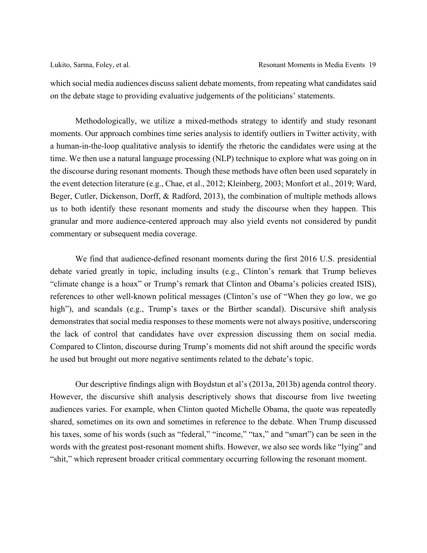which social media audiences discuss salient debate moments, from repeating what candidates said on the debate stage to providing evaluative judgements of the politicians' statements.

Methodologically, we utilize a mixed-methods strategy to identify and study resonant moments. Our approach combines time series analysis to identify outliers in Twitter activity, with a human-in-the-loop qualitative analysis to identify the rhetoric the candidates were using at the time. We then use a natural language processing (NLP) technique to explore what was going on in the discourse during resonant moments. Though these methods have often been used separately in the event detection literature (e.g., Chae, et al., 2012; Kleinberg, 2003; Monfort et al., 2019; Ward, Beger, Cutler, Dickenson, Dorff, & Radford, 2013), the combination of multiple methods allows us to both identify these resonant moments and study the discourse when they happen. This granular and more audience-centered approach may also yield events not considered by pundit commentary or subsequent media coverage.

We find that audience-defined resonant moments during the first 2016 U.S. presidential debate varied greatly in topic, including insults (e.g., Clinton's remark that Trump believes "climate change is a hoax" or Trump's remark that Clinton and Obama's policies created ISIS), references to other well-known political messages (Clinton's use of "When they go low, we go high"), and scandals (e.g., Trump's taxes or the Birther scandal). Discursive shift analysis demonstrates that social media responses to these moments were not always positive, underscoring the lack of control that candidates have over expression discussing them on social media. Compared to Clinton, discourse during Trump's moments did not shift around the specific words he used but brought out more negative sentiments related to the debate's topic.

Our descriptive findings align with Boydstun et al's (2013a, 2013b) agenda control theory. However, the discursive shift analysis descriptively shows that discourse from live tweeting audiences varies. For example, when Clinton quoted Michelle Obama, the quote was repeatedly shared, sometimes on its own and sometimes in reference to the debate. When Trump discussed his taxes, some of his words (such as "federal," "income," "tax," and "smart") can be seen in the words with the greatest post-resonant moment shifts. However, we also see words like "lying" and "shit," which represent broader critical commentary occurring following the resonant moment.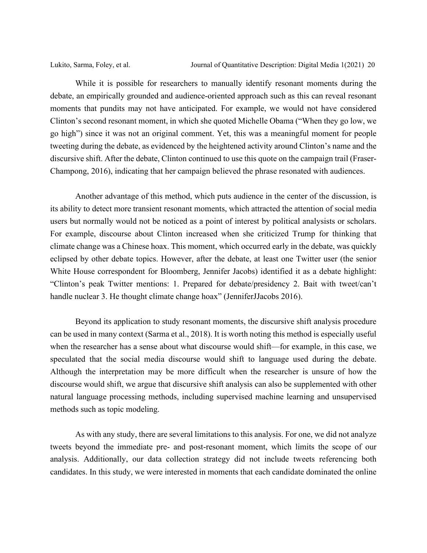While it is possible for researchers to manually identify resonant moments during the debate, an empirically grounded and audience-oriented approach such as this can reveal resonant moments that pundits may not have anticipated. For example, we would not have considered Clinton's second resonant moment, in which she quoted Michelle Obama ("When they go low, we go high") since it was not an original comment. Yet, this was a meaningful moment for people tweeting during the debate, as evidenced by the heightened activity around Clinton's name and the discursive shift. After the debate, Clinton continued to use this quote on the campaign trail (Fraser-Champong, 2016), indicating that her campaign believed the phrase resonated with audiences.

Another advantage of this method, which puts audience in the center of the discussion, is its ability to detect more transient resonant moments, which attracted the attention of social media users but normally would not be noticed as a point of interest by political analysists or scholars. For example, discourse about Clinton increased when she criticized Trump for thinking that climate change was a Chinese hoax. This moment, which occurred early in the debate, was quickly eclipsed by other debate topics. However, after the debate, at least one Twitter user (the senior White House correspondent for Bloomberg, Jennifer Jacobs) identified it as a debate highlight: "Clinton's peak Twitter mentions: 1. Prepared for debate/presidency 2. Bait with tweet/can't handle nuclear 3. He thought climate change hoax" (JenniferJJacobs 2016).

Beyond its application to study resonant moments, the discursive shift analysis procedure can be used in many context (Sarma et al., 2018). It is worth noting this method is especially useful when the researcher has a sense about what discourse would shift—for example, in this case, we speculated that the social media discourse would shift to language used during the debate. Although the interpretation may be more difficult when the researcher is unsure of how the discourse would shift, we argue that discursive shift analysis can also be supplemented with other natural language processing methods, including supervised machine learning and unsupervised methods such as topic modeling.

As with any study, there are several limitations to this analysis. For one, we did not analyze tweets beyond the immediate pre- and post-resonant moment, which limits the scope of our analysis. Additionally, our data collection strategy did not include tweets referencing both candidates. In this study, we were interested in moments that each candidate dominated the online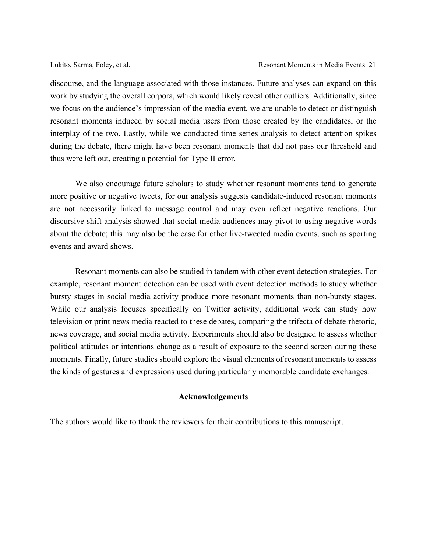discourse, and the language associated with those instances. Future analyses can expand on this work by studying the overall corpora, which would likely reveal other outliers. Additionally, since we focus on the audience's impression of the media event, we are unable to detect or distinguish resonant moments induced by social media users from those created by the candidates, or the interplay of the two. Lastly, while we conducted time series analysis to detect attention spikes during the debate, there might have been resonant moments that did not pass our threshold and thus were left out, creating a potential for Type II error.

We also encourage future scholars to study whether resonant moments tend to generate more positive or negative tweets, for our analysis suggests candidate-induced resonant moments are not necessarily linked to message control and may even reflect negative reactions. Our discursive shift analysis showed that social media audiences may pivot to using negative words about the debate; this may also be the case for other live-tweeted media events, such as sporting events and award shows.

Resonant moments can also be studied in tandem with other event detection strategies. For example, resonant moment detection can be used with event detection methods to study whether bursty stages in social media activity produce more resonant moments than non-bursty stages. While our analysis focuses specifically on Twitter activity, additional work can study how television or print news media reacted to these debates, comparing the trifecta of debate rhetoric, news coverage, and social media activity. Experiments should also be designed to assess whether political attitudes or intentions change as a result of exposure to the second screen during these moments. Finally, future studies should explore the visual elements of resonant moments to assess the kinds of gestures and expressions used during particularly memorable candidate exchanges.

### **Acknowledgements**

The authors would like to thank the reviewers for their contributions to this manuscript.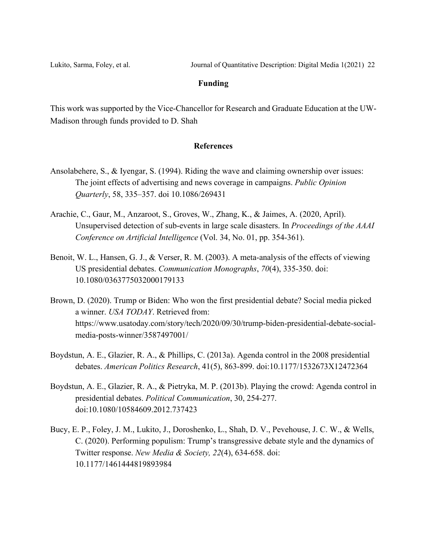Lukito, Sarma, Foley, et al. Journal of Quantitative Description: Digital Media 1(2021) 22

### **Funding**

This work was supported by the Vice-Chancellor for Research and Graduate Education at the UW-Madison through funds provided to D. Shah

### **References**

- Ansolabehere, S., & Iyengar, S. (1994). Riding the wave and claiming ownership over issues: The joint effects of advertising and news coverage in campaigns. *Public Opinion Quarterly*, 58, 335–357. doi 10.1086/269431
- Arachie, C., Gaur, M., Anzaroot, S., Groves, W., Zhang, K., & Jaimes, A. (2020, April). Unsupervised detection of sub-events in large scale disasters. In *Proceedings of the AAAI Conference on Artificial Intelligence* (Vol. 34, No. 01, pp. 354-361).
- Benoit, W. L., Hansen, G. J., & Verser, R. M. (2003). A meta-analysis of the effects of viewing US presidential debates. *Communication Monographs*, *70*(4), 335-350. doi: 10.1080/0363775032000179133
- Brown, D. (2020). Trump or Biden: Who won the first presidential debate? Social media picked a winner. *USA TODAY*. Retrieved from: https://www.usatoday.com/story/tech/2020/09/30/trump-biden-presidential-debate-socialmedia-posts-winner/3587497001/
- Boydstun, A. E., Glazier, R. A., & Phillips, C. (2013a). Agenda control in the 2008 presidential debates. *American Politics Research*, 41(5), 863-899. doi:10.1177/1532673X12472364
- Boydstun, A. E., Glazier, R. A., & Pietryka, M. P. (2013b). Playing the crowd: Agenda control in presidential debates. *Political Communication*, 30, 254-277. doi:10.1080/10584609.2012.737423
- Bucy, E. P., Foley, J. M., Lukito, J., Doroshenko, L., Shah, D. V., Pevehouse, J. C. W., & Wells, C. (2020). Performing populism: Trump's transgressive debate style and the dynamics of Twitter response. *New Media & Society, 22*(4), 634-658. doi: 10.1177/1461444819893984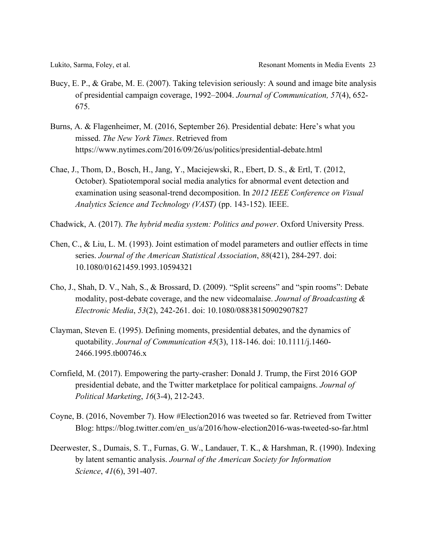- Bucy, E. P., & Grabe, M. E. (2007). Taking television seriously: A sound and image bite analysis of presidential campaign coverage, 1992–2004. *Journal of Communication, 57*(4), 652- 675.
- Burns, A. & Flagenheimer, M. (2016, September 26). Presidential debate: Here's what you missed. *The New York Times*. Retrieved from https://www.nytimes.com/2016/09/26/us/politics/presidential-debate.html
- Chae, J., Thom, D., Bosch, H., Jang, Y., Maciejewski, R., Ebert, D. S., & Ertl, T. (2012, October). Spatiotemporal social media analytics for abnormal event detection and examination using seasonal-trend decomposition. In *2012 IEEE Conference on Visual Analytics Science and Technology (VAST)* (pp. 143-152). IEEE.
- Chadwick, A. (2017). *The hybrid media system: Politics and power*. Oxford University Press.
- Chen, C., & Liu, L. M. (1993). Joint estimation of model parameters and outlier effects in time series. *Journal of the American Statistical Association*, *88*(421), 284-297. doi: 10.1080/01621459.1993.10594321
- Cho, J., Shah, D. V., Nah, S., & Brossard, D. (2009). "Split screens" and "spin rooms": Debate modality, post-debate coverage, and the new videomalaise. *Journal of Broadcasting & Electronic Media*, *53*(2), 242-261. doi: 10.1080/08838150902907827
- Clayman, Steven E. (1995). Defining moments, presidential debates, and the dynamics of quotability. *Journal of Communication 45*(3), 118-146. doi: 10.1111/j.1460- 2466.1995.tb00746.x
- Cornfield, M. (2017). Empowering the party-crasher: Donald J. Trump, the First 2016 GOP presidential debate, and the Twitter marketplace for political campaigns. *Journal of Political Marketing*, *16*(3-4), 212-243.
- Coyne, B. (2016, November 7). How #Election2016 was tweeted so far. Retrieved from Twitter Blog: https://blog.twitter.com/en\_us/a/2016/how-election2016-was-tweeted-so-far.html
- Deerwester, S., Dumais, S. T., Furnas, G. W., Landauer, T. K., & Harshman, R. (1990). Indexing by latent semantic analysis. *Journal of the American Society for Information Science*, *41*(6), 391-407.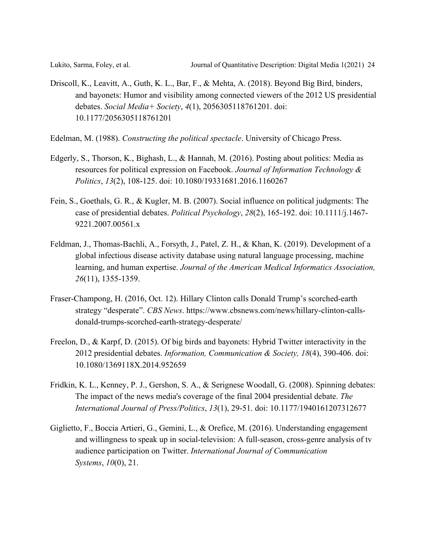- Driscoll, K., Leavitt, A., Guth, K. L., Bar, F., & Mehta, A. (2018). Beyond Big Bird, binders, and bayonets: Humor and visibility among connected viewers of the 2012 US presidential debates. *Social Media+ Society*, *4*(1), 2056305118761201. doi: 10.1177/2056305118761201
- Edelman, M. (1988). *Constructing the political spectacle*. University of Chicago Press.
- Edgerly, S., Thorson, K., Bighash, L., & Hannah, M. (2016). Posting about politics: Media as resources for political expression on Facebook. *Journal of Information Technology & Politics*, *13*(2), 108-125. doi: 10.1080/19331681.2016.1160267
- Fein, S., Goethals, G. R., & Kugler, M. B. (2007). Social influence on political judgments: The case of presidential debates. *Political Psychology*, *28*(2), 165-192. doi: 10.1111/j.1467- 9221.2007.00561.x
- Feldman, J., Thomas-Bachli, A., Forsyth, J., Patel, Z. H., & Khan, K. (2019). Development of a global infectious disease activity database using natural language processing, machine learning, and human expertise. *Journal of the American Medical Informatics Association, 26*(11), 1355-1359.
- Fraser-Champong, H. (2016, Oct. 12). Hillary Clinton calls Donald Trump's scorched-earth strategy "desperate". *CBS News*. https://www.cbsnews.com/news/hillary-clinton-callsdonald-trumps-scorched-earth-strategy-desperate/
- Freelon, D., & Karpf, D. (2015). Of big birds and bayonets: Hybrid Twitter interactivity in the 2012 presidential debates. *Information, Communication & Society, 18*(4), 390-406. doi: 10.1080/1369118X.2014.952659
- Fridkin, K. L., Kenney, P. J., Gershon, S. A., & Serignese Woodall, G. (2008). Spinning debates: The impact of the news media's coverage of the final 2004 presidential debate. *The International Journal of Press/Politics*, *13*(1), 29-51. doi: 10.1177/1940161207312677
- Giglietto, F., Boccia Artieri, G., Gemini, L., & Orefice, M. (2016). Understanding engagement and willingness to speak up in social-television: A full-season, cross-genre analysis of tv audience participation on Twitter. *International Journal of Communication Systems*, *10*(0), 21.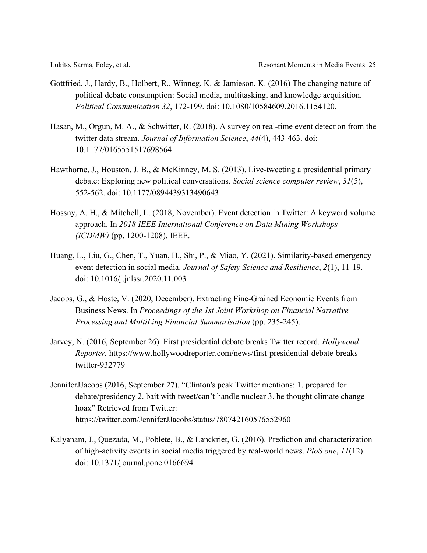- Gottfried, J., Hardy, B., Holbert, R., Winneg, K. & Jamieson, K. (2016) The changing nature of political debate consumption: Social media, multitasking, and knowledge acquisition. *Political Communication 32*, 172-199. doi: 10.1080/10584609.2016.1154120.
- Hasan, M., Orgun, M. A., & Schwitter, R. (2018). A survey on real-time event detection from the twitter data stream. *Journal of Information Science*, *44*(4), 443-463. doi: 10.1177/0165551517698564
- Hawthorne, J., Houston, J. B., & McKinney, M. S. (2013). Live-tweeting a presidential primary debate: Exploring new political conversations. *Social science computer review*, *31*(5), 552-562. doi: 10.1177/0894439313490643
- Hossny, A. H., & Mitchell, L. (2018, November). Event detection in Twitter: A keyword volume approach. In *2018 IEEE International Conference on Data Mining Workshops (ICDMW)* (pp. 1200-1208). IEEE.
- Huang, L., Liu, G., Chen, T., Yuan, H., Shi, P., & Miao, Y. (2021). Similarity-based emergency event detection in social media. *Journal of Safety Science and Resilience*, *2*(1), 11-19. doi: 10.1016/j.jnlssr.2020.11.003
- Jacobs, G., & Hoste, V. (2020, December). Extracting Fine-Grained Economic Events from Business News. In *Proceedings of the 1st Joint Workshop on Financial Narrative Processing and MultiLing Financial Summarisation* (pp. 235-245).
- Jarvey, N. (2016, September 26). First presidential debate breaks Twitter record. *Hollywood Reporter.* https://www.hollywoodreporter.com/news/first-presidential-debate-breakstwitter-932779
- JenniferJJacobs (2016, September 27). "Clinton's peak Twitter mentions: 1. prepared for debate/presidency 2. bait with tweet/can't handle nuclear 3. he thought climate change hoax" Retrieved from Twitter: https://twitter.com/JenniferJJacobs/status/780742160576552960
- Kalyanam, J., Quezada, M., Poblete, B., & Lanckriet, G. (2016). Prediction and characterization of high-activity events in social media triggered by real-world news. *PloS one*, *11*(12). doi: 10.1371/journal.pone.0166694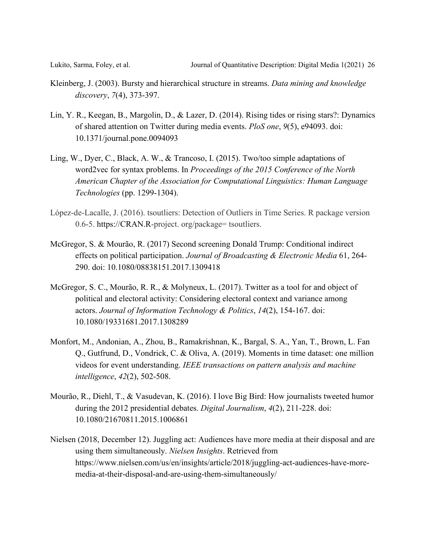- Kleinberg, J. (2003). Bursty and hierarchical structure in streams. *Data mining and knowledge discovery*, *7*(4), 373-397.
- Lin, Y. R., Keegan, B., Margolin, D., & Lazer, D. (2014). Rising tides or rising stars?: Dynamics of shared attention on Twitter during media events. *PloS one*, *9*(5), e94093. doi: 10.1371/journal.pone.0094093
- Ling, W., Dyer, C., Black, A. W., & Trancoso, I. (2015). Two/too simple adaptations of word2vec for syntax problems. In *Proceedings of the 2015 Conference of the North American Chapter of the Association for Computational Linguistics: Human Language Technologies* (pp. 1299-1304).
- López-de-Lacalle, J. (2016). tsoutliers: Detection of Outliers in Time Series. R package version 0.6-5. https://CRAN.R-project. org/package= tsoutliers.
- McGregor, S. & Mourão, R. (2017) Second screening Donald Trump: Conditional indirect effects on political participation. *Journal of Broadcasting & Electronic Media* 61, 264- 290. doi: 10.1080/08838151.2017.1309418
- McGregor, S. C., Mourão, R. R., & Molyneux, L. (2017). Twitter as a tool for and object of political and electoral activity: Considering electoral context and variance among actors. *Journal of Information Technology & Politics*, *14*(2), 154-167. doi: 10.1080/19331681.2017.1308289
- Monfort, M., Andonian, A., Zhou, B., Ramakrishnan, K., Bargal, S. A., Yan, T., Brown, L. Fan Q., Gutfrund, D., Vondrick, C. & Oliva, A. (2019). Moments in time dataset: one million videos for event understanding. *IEEE transactions on pattern analysis and machine intelligence*, *42*(2), 502-508.
- Mourão, R., Diehl, T., & Vasudevan, K. (2016). I love Big Bird: How journalists tweeted humor during the 2012 presidential debates. *Digital Journalism*, *4*(2), 211-228. doi: 10.1080/21670811.2015.1006861
- Nielsen (2018, December 12). Juggling act: Audiences have more media at their disposal and are using them simultaneously. *Nielsen Insights*. Retrieved from https://www.nielsen.com/us/en/insights/article/2018/juggling-act-audiences-have-moremedia-at-their-disposal-and-are-using-them-simultaneously/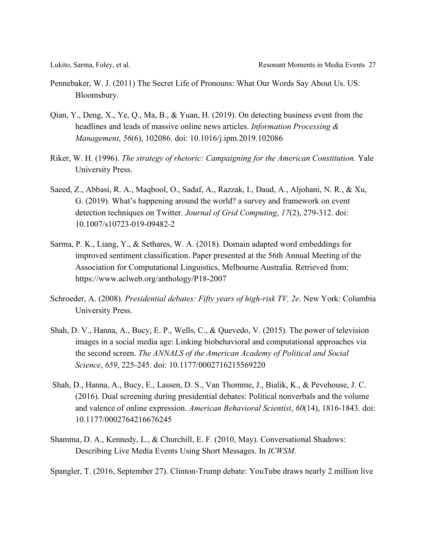- Pennebaker, W. J. (2011) The Secret Life of Pronouns: What Our Words Say About Us. US: Bloomsbury.
- Qian, Y., Deng, X., Ye, Q., Ma, B., & Yuan, H. (2019). On detecting business event from the headlines and leads of massive online news articles. *Information Processing & Management*, *56*(6), 102086. doi: 10.1016/j.ipm.2019.102086
- Riker, W. H. (1996). *The strategy of rhetoric: Campaigning for the American Constitution*. Yale University Press.
- Saeed, Z., Abbasi, R. A., Maqbool, O., Sadaf, A., Razzak, I., Daud, A., Aljohani, N. R., & Xu, G. (2019). What's happening around the world? a survey and framework on event detection techniques on Twitter. *Journal of Grid Computing*, *17*(2), 279-312. doi: 10.1007/s10723-019-09482-2
- Sarma, P. K., Liang, Y., & Sethares, W. A. (2018). Domain adapted word embeddings for improved sentiment classification. Paper presented at the 56th Annual Meeting of the Association for Computational Linguistics, Melbourne Australia. Retrieved from: https://www.aclweb.org/anthology/P18-2007
- Schroeder, A. (2008). *Presidential debates: Fifty years of high-risk TV, 2e*. New York: Columbia University Press.
- Shah, D. V., Hanna, A., Bucy, E. P., Wells, C., & Quevedo, V. (2015). The power of television images in a social media age: Linking biobehavioral and computational approaches via the second screen. *The ANNALS of the American Academy of Political and Social Science*, *659*, 225-245. doi: 10.1177/0002716215569220
- Shah, D., Hanna, A., Bucy, E., Lassen, D. S., Van Thomme, J., Bialik, K., & Pevehouse, J. C. (2016). Dual screening during presidential debates: Political nonverbals and the volume and valence of online expression. *American Behavioral Scientist*, *60*(14), 1816-1843. doi: 10.1177/0002764216676245
- Shamma, D. A., Kennedy, L., & Churchill, E. F. (2010, May). Conversational Shadows: Describing Live Media Events Using Short Messages. In *ICWSM*.
- Spangler, T. (2016, September 27). Clinton-Trump debate: YouTube draws nearly 2 million live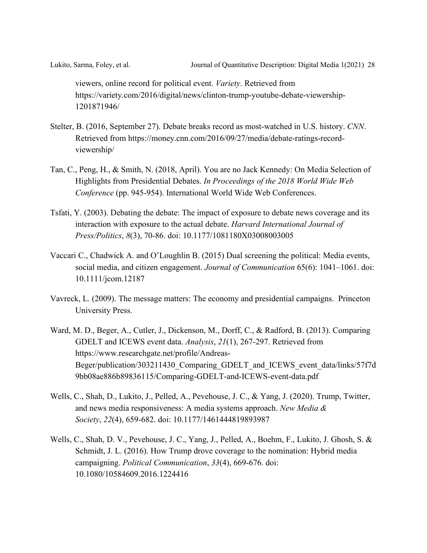viewers, online record for political event. *Variety*. Retrieved from https://variety.com/2016/digital/news/clinton-trump-youtube-debate-viewership-1201871946/

- Stelter, B. (2016, September 27). Debate breaks record as most-watched in U.S. history. *CNN*. Retrieved from https://money.cnn.com/2016/09/27/media/debate-ratings-recordviewership/
- Tan, C., Peng, H., & Smith, N. (2018, April). You are no Jack Kennedy: On Media Selection of Highlights from Presidential Debates. *In Proceedings of the 2018 World Wide Web Conference* (pp. 945-954). International World Wide Web Conferences.
- Tsfati, Y. (2003). Debating the debate: The impact of exposure to debate news coverage and its interaction with exposure to the actual debate. *Harvard International Journal of Press/Politics*, *8*(3), 70-86. doi: 10.1177/1081180X03008003005
- Vaccari C., Chadwick A. and O'Loughlin B. (2015) Dual screening the political: Media events, social media, and citizen engagement. *Journal of Communication* 65(6): 1041–1061. doi: 10.1111/jcom.12187
- Vavreck, L. (2009). The message matters: The economy and presidential campaigns. Princeton University Press.
- Ward, M. D., Beger, A., Cutler, J., Dickenson, M., Dorff, C., & Radford, B. (2013). Comparing GDELT and ICEWS event data. *Analysis*, *21*(1), 267-297. Retrieved from https://www.researchgate.net/profile/Andreas-Beger/publication/303211430\_Comparing\_GDELT\_and\_ICEWS\_event\_data/links/57f7d 9bb08ae886b89836115/Comparing-GDELT-and-ICEWS-event-data.pdf
- Wells, C., Shah, D., Lukito, J., Pelled, A., Pevehouse, J. C., & Yang, J. (2020). Trump, Twitter, and news media responsiveness: A media systems approach. *New Media & Society*, *22*(4), 659-682. doi: 10.1177/1461444819893987
- Wells, C., Shah, D. V., Pevehouse, J. C., Yang, J., Pelled, A., Boehm, F., Lukito, J. Ghosh, S. & Schmidt, J. L. (2016). How Trump drove coverage to the nomination: Hybrid media campaigning. *Political Communication*, *33*(4), 669-676. doi: 10.1080/10584609.2016.1224416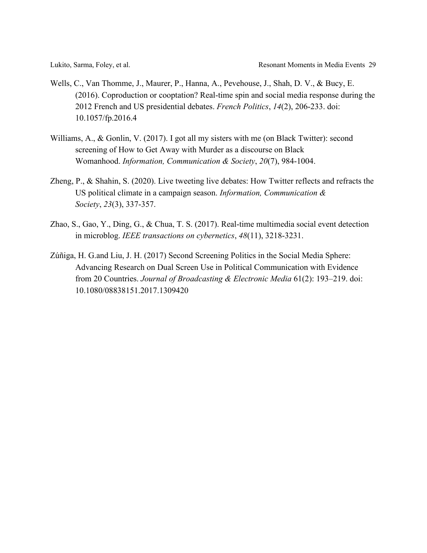- Wells, C., Van Thomme, J., Maurer, P., Hanna, A., Pevehouse, J., Shah, D. V., & Bucy, E. (2016). Coproduction or cooptation? Real-time spin and social media response during the 2012 French and US presidential debates. *French Politics*, *14*(2), 206-233. doi: 10.1057/fp.2016.4
- Williams, A., & Gonlin, V. (2017). I got all my sisters with me (on Black Twitter): second screening of How to Get Away with Murder as a discourse on Black Womanhood. *Information, Communication & Society*, *20*(7), 984-1004.
- Zheng, P., & Shahin, S. (2020). Live tweeting live debates: How Twitter reflects and refracts the US political climate in a campaign season. *Information, Communication & Society*, *23*(3), 337-357.
- Zhao, S., Gao, Y., Ding, G., & Chua, T. S. (2017). Real-time multimedia social event detection in microblog. *IEEE transactions on cybernetics*, *48*(11), 3218-3231.
- Zúñiga, H. G.and Liu, J. H. (2017) Second Screening Politics in the Social Media Sphere: Advancing Research on Dual Screen Use in Political Communication with Evidence from 20 Countries. *Journal of Broadcasting & Electronic Media* 61(2): 193–219. doi: 10.1080/08838151.2017.1309420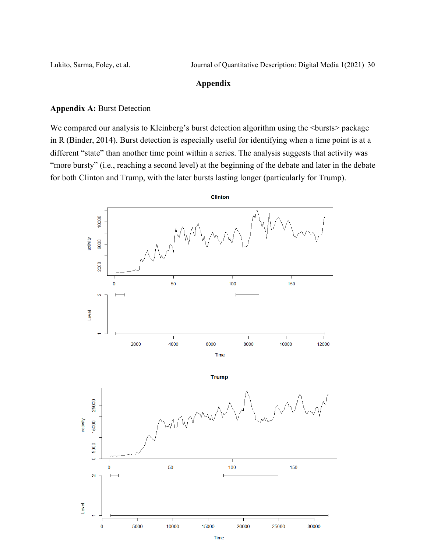### **Appendix**

### **Appendix A:** Burst Detection

We compared our analysis to Kleinberg's burst detection algorithm using the  $\leq$ bursts $\geq$  package in R (Binder, 2014). Burst detection is especially useful for identifying when a time point is at a different "state" than another time point within a series. The analysis suggests that activity was "more bursty" (i.e., reaching a second level) at the beginning of the debate and later in the debate for both Clinton and Trump, with the later bursts lasting longer (particularly for Trump).



Time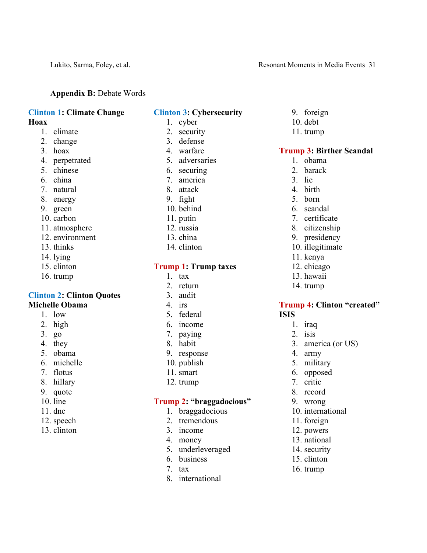### **Appendix B:** Debate Words

#### **Clinton 1: Climate Change Hoax**

- 1. climate
- 2. change
- 3. hoax
- 4. perpetrated
- 5. chinese
- 6. china
- 7. natural
- 8. energy
- 9. green
- 10. carbon
- 11. atmosphere
- 12. environment
- 13. thinks
- 14. lying
- 15. clinton
- 16. trump

### **Clinton 2: Clinton Quotes Michelle Obama**

### 1. low

- 2. high
- 3. go
- 4. they
- 5. obama
- 6. michelle
- 7. flotus
- 8. hillary
- 9. quote
- 10. line
- 11. dnc
- 12. speech
- 13. clinton

### **Clinton 3: Cybersecurity**

- 1. cyber
- 2. security
- 3. defense
- 4. warfare
- 5. adversaries
- 6. securing
- 7. america
- 8. attack
- 9. fight
- 10. behind
- 11. putin
- 12. russia
- 13. china
- 14. clinton

#### **Trump 1: Trump taxes**

- 1. tax
- 2. return
- 3. audit
- 4. irs
- 5. federal
- 6. income
- 7. paying
- 8. habit
- 9. response
- 10. publish
- 11. smart
- 12. trump

## **Trump 2: "braggadocious"**

- 1. braggadocious
- 2. tremendous
- 3. income
- 4. money
- 5. underleveraged
- 6. business
- 7. tax
- 8. international

## 9. foreign

- 10. debt
- 11. trump

## **Trump 3: Birther Scandal**

- 1. obama
- 2. barack
- 3. lie
- 4. birth
- 5. born
- 6. scandal
- 7. certificate
- 8. citizenship
- 9. presidency
- 10. illegitimate
- 11. kenya
- 12. chicago
- 13. hawaii
- 14. trump

### **Trump 4: Clinton "created" ISIS**

- 1. iraq
- 2. isis
- 3. america (or US)
- 4. army
- 5. military
- 6. opposed
- 7. critic
- 8. record
- 9. wrong

11. foreign 12. powers 13. national 14. security 15. clinton 16. trump

10. international